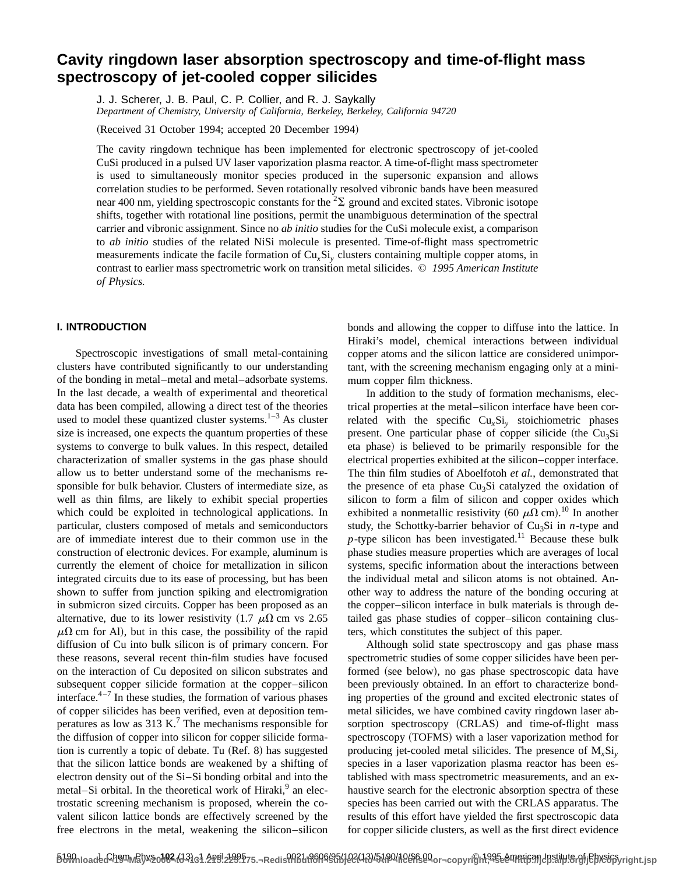# **Cavity ringdown laser absorption spectroscopy and time-of-flight mass spectroscopy of jet-cooled copper silicides**

J. J. Scherer, J. B. Paul, C. P. Collier, and R. J. Saykally

*Department of Chemistry, University of California, Berkeley, Berkeley, California 94720*

(Received 31 October 1994; accepted 20 December 1994)

The cavity ringdown technique has been implemented for electronic spectroscopy of jet-cooled CuSi produced in a pulsed UV laser vaporization plasma reactor. A time-of-flight mass spectrometer is used to simultaneously monitor species produced in the supersonic expansion and allows correlation studies to be performed. Seven rotationally resolved vibronic bands have been measured near 400 nm, yielding spectroscopic constants for the  ${}^{2}\Sigma$  ground and excited states. Vibronic isotope shifts, together with rotational line positions, permit the unambiguous determination of the spectral carrier and vibronic assignment. Since no *ab initio* studies for the CuSi molecule exist, a comparison to *ab initio* studies of the related NiSi molecule is presented. Time-of-flight mass spectrometric measurements indicate the facile formation of Cu*x*Si*<sup>y</sup>* clusters containing multiple copper atoms, in contrast to earlier mass spectrometric work on transition metal silicides. © *1995 American Institute of Physics.*

# **I. INTRODUCTION**

Spectroscopic investigations of small metal-containing clusters have contributed significantly to our understanding of the bonding in metal–metal and metal–adsorbate systems. In the last decade, a wealth of experimental and theoretical data has been compiled, allowing a direct test of the theories used to model these quantized cluster systems. $1-3$  As cluster size is increased, one expects the quantum properties of these systems to converge to bulk values. In this respect, detailed characterization of smaller systems in the gas phase should allow us to better understand some of the mechanisms responsible for bulk behavior. Clusters of intermediate size, as well as thin films, are likely to exhibit special properties which could be exploited in technological applications. In particular, clusters composed of metals and semiconductors are of immediate interest due to their common use in the construction of electronic devices. For example, aluminum is currently the element of choice for metallization in silicon integrated circuits due to its ease of processing, but has been shown to suffer from junction spiking and electromigration in submicron sized circuits. Copper has been proposed as an alternative, due to its lower resistivity (1.7  $\mu\Omega$  cm vs 2.65  $\mu\Omega$  cm for Al), but in this case, the possibility of the rapid diffusion of Cu into bulk silicon is of primary concern. For these reasons, several recent thin-film studies have focused on the interaction of Cu deposited on silicon substrates and subsequent copper silicide formation at the copper–silicon interface. $4-7$  In these studies, the formation of various phases of copper silicides has been verified, even at deposition temperatures as low as 313 K.<sup>7</sup> The mechanisms responsible for the diffusion of copper into silicon for copper silicide formation is currently a topic of debate. Tu  $(Ref. 8)$  has suggested that the silicon lattice bonds are weakened by a shifting of electron density out of the Si–Si bonding orbital and into the metal–Si orbital. In the theoretical work of Hiraki, $9$  an electrostatic screening mechanism is proposed, wherein the covalent silicon lattice bonds are effectively screened by the free electrons in the metal, weakening the silicon–silicon bonds and allowing the copper to diffuse into the lattice. In Hiraki's model, chemical interactions between individual copper atoms and the silicon lattice are considered unimportant, with the screening mechanism engaging only at a minimum copper film thickness.

In addition to the study of formation mechanisms, electrical properties at the metal–silicon interface have been correlated with the specific Cu*x*Si*<sup>y</sup>* stoichiometric phases present. One particular phase of copper silicide (the  $Cu<sub>3</sub>Si$ ) eta phase) is believed to be primarily responsible for the electrical properties exhibited at the silicon–copper interface. The thin film studies of Aboelfotoh *et al.*, demonstrated that the presence of eta phase  $Cu<sub>3</sub>Si$  catalyzed the oxidation of silicon to form a film of silicon and copper oxides which exhibited a nonmetallic resistivity (60  $\mu \Omega$  cm).<sup>10</sup> In another study, the Schottky-barrier behavior of  $Cu<sub>3</sub>Si$  in *n*-type and  $p$ -type silicon has been investigated.<sup>11</sup> Because these bulk phase studies measure properties which are averages of local systems, specific information about the interactions between the individual metal and silicon atoms is not obtained. Another way to address the nature of the bonding occuring at the copper–silicon interface in bulk materials is through detailed gas phase studies of copper–silicon containing clusters, which constitutes the subject of this paper.

Although solid state spectroscopy and gas phase mass spectrometric studies of some copper silicides have been performed (see below), no gas phase spectroscopic data have been previously obtained. In an effort to characterize bonding properties of the ground and excited electronic states of metal silicides, we have combined cavity ringdown laser absorption spectroscopy (CRLAS) and time-of-flight mass spectroscopy (TOFMS) with a laser vaporization method for producing jet-cooled metal silicides. The presence of M*x*Si*<sup>y</sup>* species in a laser vaporization plasma reactor has been established with mass spectrometric measurements, and an exhaustive search for the electronic absorption spectra of these species has been carried out with the CRLAS apparatus. The results of this effort have yielded the first spectroscopic data for copper silicide clusters, as well as the first direct evidence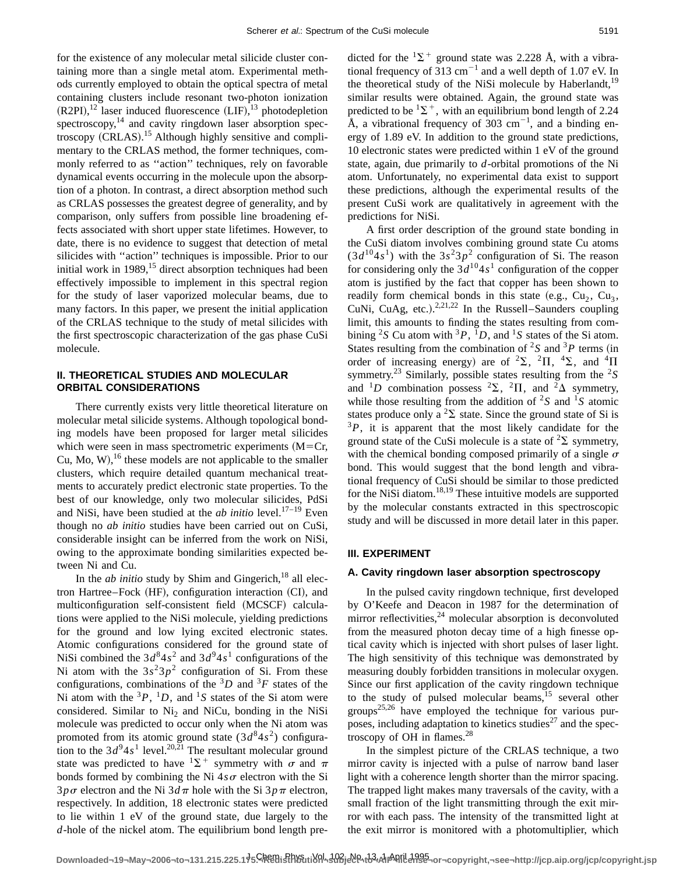for the existence of any molecular metal silicide cluster containing more than a single metal atom. Experimental methods currently employed to obtain the optical spectra of metal containing clusters include resonant two-photon ionization  $(R2PI),<sup>12</sup>$  laser induced fluorescence  $(LIF),<sup>13</sup>$  photodepletion spectroscopy, $14$  and cavity ringdown laser absorption spectroscopy (CRLAS).<sup>15</sup> Although highly sensitive and complimentary to the CRLAS method, the former techniques, commonly referred to as ''action'' techniques, rely on favorable dynamical events occurring in the molecule upon the absorption of a photon. In contrast, a direct absorption method such as CRLAS possesses the greatest degree of generality, and by comparison, only suffers from possible line broadening effects associated with short upper state lifetimes. However, to date, there is no evidence to suggest that detection of metal silicides with ''action'' techniques is impossible. Prior to our initial work in  $1989$ ,<sup>15</sup> direct absorption techniques had been effectively impossible to implement in this spectral region for the study of laser vaporized molecular beams, due to many factors. In this paper, we present the initial application of the CRLAS technique to the study of metal silicides with the first spectroscopic characterization of the gas phase CuSi molecule.

# **II. THEORETICAL STUDIES AND MOLECULAR ORBITAL CONSIDERATIONS**

There currently exists very little theoretical literature on molecular metal silicide systems. Although topological bonding models have been proposed for larger metal silicides which were seen in mass spectrometric experiments  $(M=Cr,$ Cu, Mo, W),  $^{16}$  these models are not applicable to the smaller clusters, which require detailed quantum mechanical treatments to accurately predict electronic state properties. To the best of our knowledge, only two molecular silicides, PdSi and NiSi, have been studied at the  $ab$  initio level.<sup>17-19</sup> Even though no *ab initio* studies have been carried out on CuSi, considerable insight can be inferred from the work on NiSi, owing to the approximate bonding similarities expected between Ni and Cu.

In the *ab initio* study by Shim and Gingerich, $18$  all electron Hartree–Fock (HF), configuration interaction (CI), and multiconfiguration self-consistent field (MCSCF) calculations were applied to the NiSi molecule, yielding predictions for the ground and low lying excited electronic states. Atomic configurations considered for the ground state of NiSi combined the  $3d^8 4s^2$  and  $3d^9 4s^1$  configurations of the Ni atom with the  $3s^2 3p^2$  configuration of Si. From these configurations, combinations of the  ${}^{3}D$  and  ${}^{3}F$  states of the Ni atom with the  ${}^{3}P$ ,  ${}^{1}D$ , and  ${}^{1}S$  states of the Si atom were considered. Similar to  $Ni<sub>2</sub>$  and NiCu, bonding in the NiSi molecule was predicted to occur only when the Ni atom was promoted from its atomic ground state  $(3d<sup>8</sup>4s<sup>2</sup>)$  configuration to the  $3d^9 4s^1$  level.<sup>20,21</sup> The resultant molecular ground state was predicted to have  ${}^{1}\Sigma^{+}$  symmetry with  $\sigma$  and  $\pi$ bonds formed by combining the Ni  $4s\sigma$  electron with the Si  $3p\sigma$  electron and the Ni  $3d\pi$  hole with the Si  $3p\pi$  electron, respectively. In addition, 18 electronic states were predicted to lie within 1 eV of the ground state, due largely to the *d*-hole of the nickel atom. The equilibrium bond length predicted for the  ${}^{1}\Sigma^{+}$  ground state was 2.228 Å, with a vibrational frequency of 313  $\text{cm}^{-1}$  and a well depth of 1.07 eV. In the theoretical study of the NiSi molecule by Haberlandt,<sup>19</sup> similar results were obtained. Again, the ground state was predicted to be  ${}^{1}\Sigma^{+}$ , with an equilibrium bond length of 2.24 Å, a vibrational frequency of 303 cm<sup>-1</sup>, and a binding energy of 1.89 eV. In addition to the ground state predictions, 10 electronic states were predicted within 1 eV of the ground state, again, due primarily to *d*-orbital promotions of the Ni atom. Unfortunately, no experimental data exist to support these predictions, although the experimental results of the present CuSi work are qualitatively in agreement with the predictions for NiSi.

A first order description of the ground state bonding in the CuSi diatom involves combining ground state Cu atoms  $(3d^{10}4s^1)$  with the  $3s^23p^2$  configuration of Si. The reason for considering only the  $3d^{10}4s^1$  configuration of the copper atom is justified by the fact that copper has been shown to readily form chemical bonds in this state (e.g.,  $Cu_2$ ,  $Cu_3$ , CuNi, CuAg, etc.). $2,21,22$  In the Russell–Saunders coupling limit, this amounts to finding the states resulting from combining <sup>2</sup>*S* Cu atom with <sup>3</sup>*P*, <sup>1</sup>*D*, and <sup>1</sup>*S* states of the Si atom. States resulting from the combination of <sup>2</sup>S and <sup>3</sup>P terms (in order of increasing energy) are of  ${}^{2}\Sigma$ ,  ${}^{2}\Pi$ ,  ${}^{4}\Sigma$ , and  ${}^{4}\Pi$ symmetry.23 Similarly, possible states resulting from the <sup>2</sup>*S* and <sup>1</sup>D combination possess <sup>2</sup> $\Sigma$ , <sup>2</sup> $\Pi$ , and <sup>2</sup> $\Delta$  symmetry, while those resulting from the addition of  ${}^{2}S$  and  ${}^{1}S$  atomic states produce only a  ${}^{2}\Sigma$  state. Since the ground state of Si is <sup>3</sup>P, it is apparent that the most likely candidate for the ground state of the CuSi molecule is a state of  ${}^{2}\Sigma$  symmetry, with the chemical bonding composed primarily of a single  $\sigma$ bond. This would suggest that the bond length and vibrational frequency of CuSi should be similar to those predicted for the NiSi diatom.<sup>18,19</sup> These intuitive models are supported by the molecular constants extracted in this spectroscopic study and will be discussed in more detail later in this paper.

## **III. EXPERIMENT**

#### **A. Cavity ringdown laser absorption spectroscopy**

In the pulsed cavity ringdown technique, first developed by O'Keefe and Deacon in 1987 for the determination of mirror reflectivities, $^{24}$  molecular absorption is deconvoluted from the measured photon decay time of a high finesse optical cavity which is injected with short pulses of laser light. The high sensitivity of this technique was demonstrated by measuring doubly forbidden transitions in molecular oxygen. Since our first application of the cavity ringdown technique to the study of pulsed molecular beams,<sup>15</sup> several other groups<sup>25,26</sup> have employed the technique for various purposes, including adaptation to kinetics studies<sup>27</sup> and the spectroscopy of OH in flames. $28$ 

In the simplest picture of the CRLAS technique, a two mirror cavity is injected with a pulse of narrow band laser light with a coherence length shorter than the mirror spacing. The trapped light makes many traversals of the cavity, with a small fraction of the light transmitting through the exit mirror with each pass. The intensity of the transmitted light at the exit mirror is monitored with a photomultiplier, which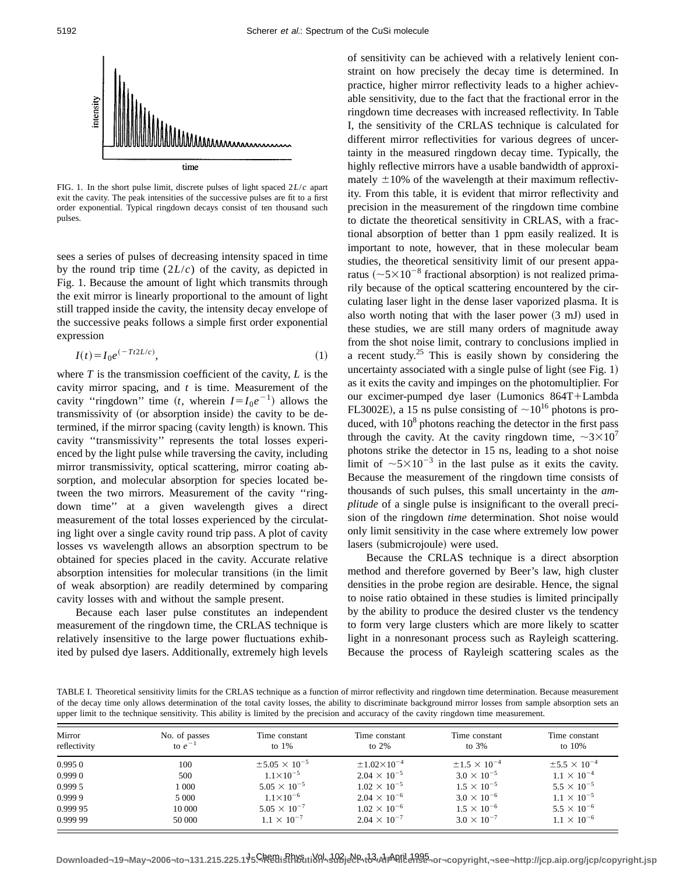

FIG. 1. In the short pulse limit, discrete pulses of light spaced 2*L*/*c* apart exit the cavity. The peak intensities of the successive pulses are fit to a first order exponential. Typical ringdown decays consist of ten thousand such pulses.

sees a series of pulses of decreasing intensity spaced in time by the round trip time  $(2L/c)$  of the cavity, as depicted in Fig. 1. Because the amount of light which transmits through the exit mirror is linearly proportional to the amount of light still trapped inside the cavity, the intensity decay envelope of the successive peaks follows a simple first order exponential expression

$$
I(t) = I_0 e^{(-Tt2L/c)},\tag{1}
$$

where *T* is the transmission coefficient of the cavity, *L* is the cavity mirror spacing, and *t* is time. Measurement of the cavity "ringdown" time  $(t,$  wherein  $I = I_0 e^{-1}$  allows the transmissivity of (or absorption inside) the cavity to be determined, if the mirror spacing (cavity length) is known. This cavity ''transmissivity'' represents the total losses experienced by the light pulse while traversing the cavity, including mirror transmissivity, optical scattering, mirror coating absorption, and molecular absorption for species located between the two mirrors. Measurement of the cavity ''ringdown time'' at a given wavelength gives a direct measurement of the total losses experienced by the circulating light over a single cavity round trip pass. A plot of cavity losses vs wavelength allows an absorption spectrum to be obtained for species placed in the cavity. Accurate relative absorption intensities for molecular transitions (in the limit of weak absorption) are readily determined by comparing cavity losses with and without the sample present.

Because each laser pulse constitutes an independent measurement of the ringdown time, the CRLAS technique is relatively insensitive to the large power fluctuations exhibited by pulsed dye lasers. Additionally, extremely high levels of sensitivity can be achieved with a relatively lenient constraint on how precisely the decay time is determined. In practice, higher mirror reflectivity leads to a higher achievable sensitivity, due to the fact that the fractional error in the ringdown time decreases with increased reflectivity. In Table I, the sensitivity of the CRLAS technique is calculated for different mirror reflectivities for various degrees of uncertainty in the measured ringdown decay time. Typically, the highly reflective mirrors have a usable bandwidth of approximately  $\pm 10\%$  of the wavelength at their maximum reflectivity. From this table, it is evident that mirror reflectivity and precision in the measurement of the ringdown time combine to dictate the theoretical sensitivity in CRLAS, with a fractional absorption of better than 1 ppm easily realized. It is important to note, however, that in these molecular beam studies, the theoretical sensitivity limit of our present apparatus  $({\sim}5\times10^{-8}$  fractional absorption) is not realized primarily because of the optical scattering encountered by the circulating laser light in the dense laser vaporized plasma. It is also worth noting that with the laser power  $(3 \text{ mJ})$  used in these studies, we are still many orders of magnitude away from the shot noise limit, contrary to conclusions implied in a recent study.<sup>25</sup> This is easily shown by considering the uncertainty associated with a single pulse of light (see Fig. 1) as it exits the cavity and impinges on the photomultiplier. For our excimer-pumped dye laser (Lumonics 864T+Lambda FL3002E), a 15 ns pulse consisting of  $\sim 10^{16}$  photons is produced, with  $10<sup>8</sup>$  photons reaching the detector in the first pass through the cavity. At the cavity ringdown time,  $\sim 3 \times 10^{7}$ photons strike the detector in 15 ns, leading to a shot noise limit of  $\sim 5 \times 10^{-3}$  in the last pulse as it exits the cavity. Because the measurement of the ringdown time consists of thousands of such pulses, this small uncertainty in the *amplitude* of a single pulse is insignificant to the overall precision of the ringdown *time* determination. Shot noise would only limit sensitivity in the case where extremely low power lasers (submicrojoule) were used.

Because the CRLAS technique is a direct absorption method and therefore governed by Beer's law, high cluster densities in the probe region are desirable. Hence, the signal to noise ratio obtained in these studies is limited principally by the ability to produce the desired cluster vs the tendency to form very large clusters which are more likely to scatter light in a nonresonant process such as Rayleigh scattering. Because the process of Rayleigh scattering scales as the

TABLE I. Theoretical sensitivity limits for the CRLAS technique as a function of mirror reflectivity and ringdown time determination. Because measurement of the decay time only allows determination of the total cavity losses, the ability to discriminate background mirror losses from sample absorption sets an upper limit to the technique sensitivity. This ability is limited by the precision and accuracy of the cavity ringdown time measurement.

| Mirror<br>reflectivity | No. of passes<br>to $e^{-1}$ | Time constant<br>to $1\%$ | Time constant<br>to $2\%$ | Time constant<br>to $3%$ | Time constant<br>to $10\%$ |
|------------------------|------------------------------|---------------------------|---------------------------|--------------------------|----------------------------|
| 0.9950                 | 100                          | $\pm 5.05 \times 10^{-5}$ | $\pm 1.02 \times 10^{-4}$ | $\pm 1.5 \times 10^{-4}$ | $\pm 5.5 \times 10^{-4}$   |
| 0.9990                 | 500                          | $1.1 \times 10^{-5}$      | $2.04 \times 10^{-5}$     | $3.0 \times 10^{-5}$     | $1.1 \times 10^{-4}$       |
| 0.9995                 | 1 000                        | $5.05 \times 10^{-5}$     | $1.02 \times 10^{-5}$     | $1.5 \times 10^{-5}$     | $5.5 \times 10^{-5}$       |
| 0.9999                 | 5 0 0 0                      | $1.1 \times 10^{-6}$      | $2.04 \times 10^{-6}$     | $3.0 \times 10^{-6}$     | $1.1 \times 10^{-5}$       |
| 0.999 95               | 10 000                       | $5.05 \times 10^{-7}$     | $1.02 \times 10^{-6}$     | $1.5 \times 10^{-6}$     | $5.5 \times 10^{-6}$       |
| 0.999 99               | 50 000                       | $1.1 \times 10^{-7}$      | $2.04 \times 10^{-7}$     | $3.0 \times 10^{-7}$     | $1.1 \times 10^{-6}$       |

Downloaded¬19¬May¬2006¬to¬131.215.225.175<del>.</del>\RettisRhySutiYA¬sUSje\\P-t53.AIARFikeN99-or¬copyright,¬see¬http://jcp.aip.org/jcp/copyright.jsp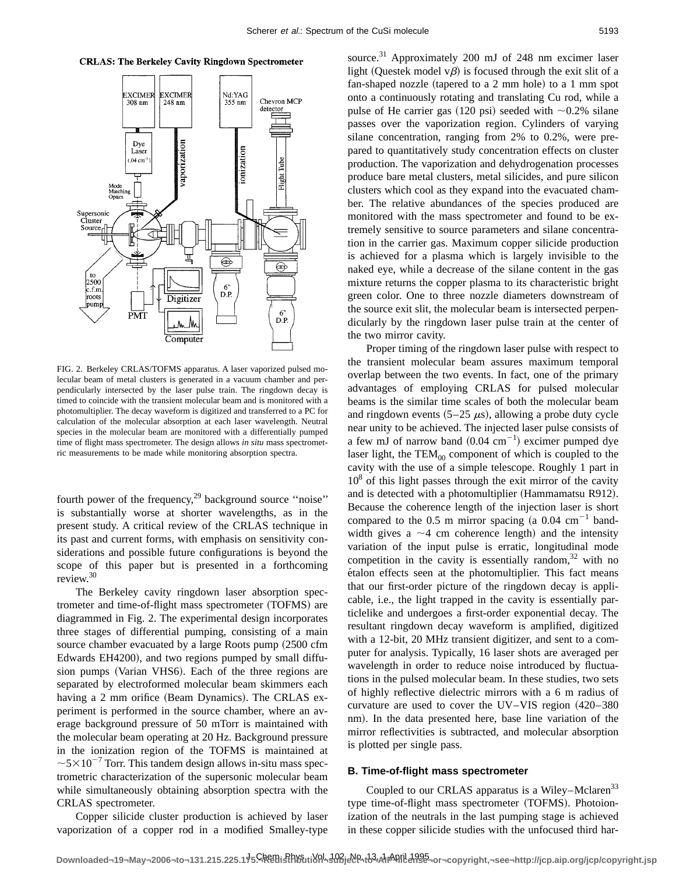



FIG. 2. Berkeley CRLAS/TOFMS apparatus. A laser vaporized pulsed molecular beam of metal clusters is generated in a vacuum chamber and perpendicularly intersected by the laser pulse train. The ringdown decay is timed to coincide with the transient molecular beam and is monitored with a photomultiplier. The decay waveform is digitized and transferred to a PC for calculation of the molecular absorption at each laser wavelength. Neutral species in the molecular beam are monitored with a differentially pumped time of flight mass spectrometer. The design allows *in situ* mass spectrometric measurements to be made while monitoring absorption spectra.

fourth power of the frequency, $29$  background source "noise" is substantially worse at shorter wavelengths, as in the present study. A critical review of the CRLAS technique in its past and current forms, with emphasis on sensitivity considerations and possible future configurations is beyond the scope of this paper but is presented in a forthcoming review.<sup>30</sup>

The Berkeley cavity ringdown laser absorption spectrometer and time-of-flight mass spectrometer (TOFMS) are diagrammed in Fig. 2. The experimental design incorporates three stages of differential pumping, consisting of a main source chamber evacuated by a large Roots pump  $(2500 \text{ cfm})$ Edwards EH4200), and two regions pumped by small diffusion pumps (Varian VHS6). Each of the three regions are separated by electroformed molecular beam skimmers each having a 2 mm orifice (Beam Dynamics). The CRLAS experiment is performed in the source chamber, where an average background pressure of 50 mTorr is maintained with the molecular beam operating at 20 Hz. Background pressure in the ionization region of the TOFMS is maintained at  $\sim$  5 $\times$ 10<sup>-7</sup> Torr. This tandem design allows in-situ mass spectrometric characterization of the supersonic molecular beam while simultaneously obtaining absorption spectra with the CRLAS spectrometer.

Copper silicide cluster production is achieved by laser vaporization of a copper rod in a modified Smalley-type source.<sup>31</sup> Approximately 200 mJ of 248 nm excimer laser light (Questek model v $\beta$ ) is focused through the exit slit of a fan-shaped nozzle (tapered to a  $2$  mm hole) to a 1 mm spot onto a continuously rotating and translating Cu rod, while a pulse of He carrier gas  $(120 \text{ psi})$  seeded with  $\sim 0.2\%$  silane passes over the vaporization region. Cylinders of varying silane concentration, ranging from 2% to 0.2%, were prepared to quantitatively study concentration effects on cluster production. The vaporization and dehydrogenation processes produce bare metal clusters, metal silicides, and pure silicon clusters which cool as they expand into the evacuated chamber. The relative abundances of the species produced are monitored with the mass spectrometer and found to be extremely sensitive to source parameters and silane concentration in the carrier gas. Maximum copper silicide production is achieved for a plasma which is largely invisible to the naked eye, while a decrease of the silane content in the gas mixture returns the copper plasma to its characteristic bright green color. One to three nozzle diameters downstream of the source exit slit, the molecular beam is intersected perpendicularly by the ringdown laser pulse train at the center of the two mirror cavity.

Proper timing of the ringdown laser pulse with respect to the transient molecular beam assures maximum temporal overlap between the two events. In fact, one of the primary advantages of employing CRLAS for pulsed molecular beams is the similar time scales of both the molecular beam and ringdown events  $(5-25 \mu s)$ , allowing a probe duty cycle near unity to be achieved. The injected laser pulse consists of a few mJ of narrow band  $(0.04 \text{ cm}^{-1})$  excimer pumped dye laser light, the  $TEM_{00}$  component of which is coupled to the cavity with the use of a simple telescope. Roughly 1 part in  $10<sup>8</sup>$  of this light passes through the exit mirror of the cavity and is detected with a photomultiplier (Hammamatsu R912). Because the coherence length of the injection laser is short compared to the 0.5 m mirror spacing  $(a \ 0.04 \ cm^{-1})$  bandwidth gives a  $\sim$ 4 cm coherence length) and the intensity variation of the input pulse is erratic, longitudinal mode competition in the cavity is essentially random,  $32$  with no e´talon effects seen at the photomultiplier. This fact means that our first-order picture of the ringdown decay is applicable, i.e., the light trapped in the cavity is essentially particlelike and undergoes a first-order exponential decay. The resultant ringdown decay waveform is amplified, digitized with a 12-bit, 20 MHz transient digitizer, and sent to a computer for analysis. Typically, 16 laser shots are averaged per wavelength in order to reduce noise introduced by fluctuations in the pulsed molecular beam. In these studies, two sets of highly reflective dielectric mirrors with a 6 m radius of curvature are used to cover the UV–VIS region  $(420-380)$ nm). In the data presented here, base line variation of the mirror reflectivities is subtracted, and molecular absorption is plotted per single pass.

#### **B. Time-of-flight mass spectrometer**

Coupled to our CRLAS apparatus is a Wiley–Mclaren<sup>33</sup> type time-of-flight mass spectrometer (TOFMS). Photoionization of the neutrals in the last pumping stage is achieved in these copper silicide studies with the unfocused third har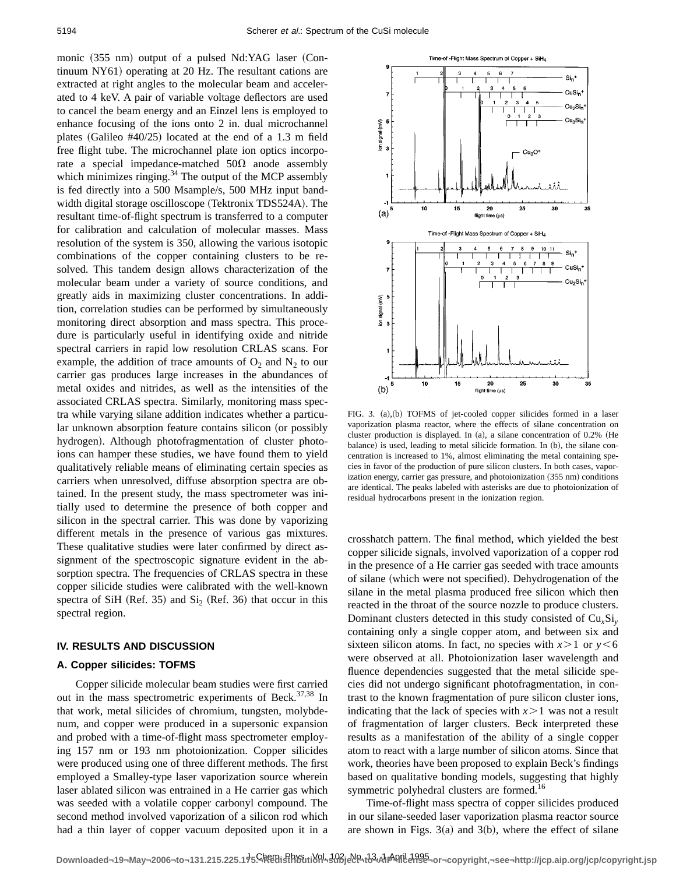monic  $(355 \text{ nm})$  output of a pulsed Nd:YAG laser  $(Con$ tinuum NY61) operating at 20 Hz. The resultant cations are extracted at right angles to the molecular beam and accelerated to 4 keV. A pair of variable voltage deflectors are used to cancel the beam energy and an Einzel lens is employed to enhance focusing of the ions onto 2 in. dual microchannel plates (Galileo  $#40/25$ ) located at the end of a 1.3 m field free flight tube. The microchannel plate ion optics incorporate a special impedance-matched  $50\Omega$  anode assembly which minimizes ringing. $34$  The output of the MCP assembly is fed directly into a 500 Msample/s, 500 MHz input bandwidth digital storage oscilloscope (Tektronix TDS524A). The resultant time-of-flight spectrum is transferred to a computer for calibration and calculation of molecular masses. Mass resolution of the system is 350, allowing the various isotopic combinations of the copper containing clusters to be resolved. This tandem design allows characterization of the molecular beam under a variety of source conditions, and greatly aids in maximizing cluster concentrations. In addition, correlation studies can be performed by simultaneously monitoring direct absorption and mass spectra. This procedure is particularly useful in identifying oxide and nitride spectral carriers in rapid low resolution CRLAS scans. For example, the addition of trace amounts of  $O_2$  and  $N_2$  to our carrier gas produces large increases in the abundances of metal oxides and nitrides, as well as the intensities of the associated CRLAS spectra. Similarly, monitoring mass spectra while varying silane addition indicates whether a particular unknown absorption feature contains silicon (or possibly hydrogen). Although photofragmentation of cluster photoions can hamper these studies, we have found them to yield qualitatively reliable means of eliminating certain species as carriers when unresolved, diffuse absorption spectra are obtained. In the present study, the mass spectrometer was initially used to determine the presence of both copper and silicon in the spectral carrier. This was done by vaporizing different metals in the presence of various gas mixtures. These qualitative studies were later confirmed by direct assignment of the spectroscopic signature evident in the absorption spectra. The frequencies of CRLAS spectra in these copper silicide studies were calibrated with the well-known spectra of SiH (Ref. 35) and  $Si<sub>2</sub>$  (Ref. 36) that occur in this spectral region.

#### **IV. RESULTS AND DISCUSSION**

# **A. Copper silicides: TOFMS**

Copper silicide molecular beam studies were first carried out in the mass spectrometric experiments of Beck. $37,38$  In that work, metal silicides of chromium, tungsten, molybdenum, and copper were produced in a supersonic expansion and probed with a time-of-flight mass spectrometer employing 157 nm or 193 nm photoionization. Copper silicides were produced using one of three different methods. The first employed a Smalley-type laser vaporization source wherein laser ablated silicon was entrained in a He carrier gas which was seeded with a volatile copper carbonyl compound. The second method involved vaporization of a silicon rod which had a thin layer of copper vacuum deposited upon it in a



FIG. 3. (a),(b) TOFMS of jet-cooled copper silicides formed in a laser vaporization plasma reactor, where the effects of silane concentration on cluster production is displayed. In  $(a)$ , a silane concentration of 0.2% (He balance) is used, leading to metal silicide formation. In  $(b)$ , the silane concentration is increased to 1%, almost eliminating the metal containing species in favor of the production of pure silicon clusters. In both cases, vaporization energy, carrier gas pressure, and photoionization (355 nm) conditions are identical. The peaks labeled with asterisks are due to photoionization of residual hydrocarbons present in the ionization region.

crosshatch pattern. The final method, which yielded the best copper silicide signals, involved vaporization of a copper rod in the presence of a He carrier gas seeded with trace amounts of silane (which were not specified). Dehydrogenation of the silane in the metal plasma produced free silicon which then reacted in the throat of the source nozzle to produce clusters. Dominant clusters detected in this study consisted of Cu*x*Si*<sup>y</sup>* containing only a single copper atom, and between six and sixteen silicon atoms. In fact, no species with  $x > 1$  or  $y < 6$ were observed at all. Photoionization laser wavelength and fluence dependencies suggested that the metal silicide species did not undergo significant photofragmentation, in contrast to the known fragmentation of pure silicon cluster ions, indicating that the lack of species with  $x > 1$  was not a result of fragmentation of larger clusters. Beck interpreted these results as a manifestation of the ability of a single copper atom to react with a large number of silicon atoms. Since that work, theories have been proposed to explain Beck's findings based on qualitative bonding models, suggesting that highly symmetric polyhedral clusters are formed.<sup>16</sup>

Time-of-flight mass spectra of copper silicides produced in our silane-seeded laser vaporization plasma reactor source are shown in Figs.  $3(a)$  and  $3(b)$ , where the effect of silane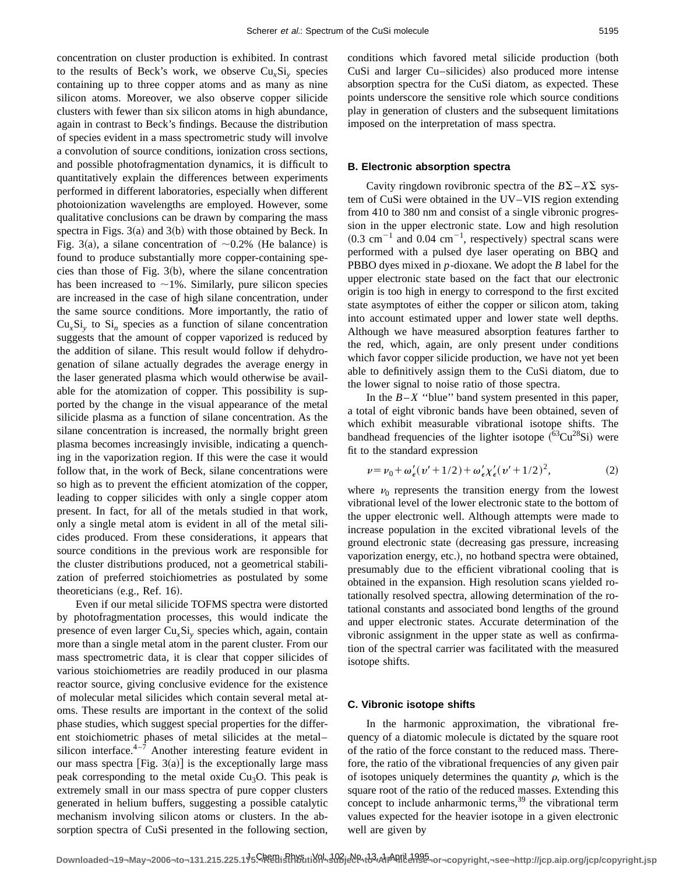concentration on cluster production is exhibited. In contrast to the results of Beck's work, we observe Cu*x*Si*<sup>y</sup>* species containing up to three copper atoms and as many as nine silicon atoms. Moreover, we also observe copper silicide clusters with fewer than six silicon atoms in high abundance, again in contrast to Beck's findings. Because the distribution of species evident in a mass spectrometric study will involve a convolution of source conditions, ionization cross sections, and possible photofragmentation dynamics, it is difficult to quantitatively explain the differences between experiments performed in different laboratories, especially when different photoionization wavelengths are employed. However, some qualitative conclusions can be drawn by comparing the mass spectra in Figs.  $3(a)$  and  $3(b)$  with those obtained by Beck. In Fig. 3(a), a silane concentration of  $\sim 0.2\%$  (He balance) is found to produce substantially more copper-containing species than those of Fig.  $3(b)$ , where the silane concentration has been increased to  $\sim$ 1%. Similarly, pure silicon species are increased in the case of high silane concentration, under the same source conditions. More importantly, the ratio of  $Cu<sub>x</sub>Si<sub>y</sub>$  to  $Si<sub>n</sub>$  species as a function of silane concentration suggests that the amount of copper vaporized is reduced by the addition of silane. This result would follow if dehydrogenation of silane actually degrades the average energy in the laser generated plasma which would otherwise be available for the atomization of copper. This possibility is supported by the change in the visual appearance of the metal silicide plasma as a function of silane concentration. As the silane concentration is increased, the normally bright green plasma becomes increasingly invisible, indicating a quenching in the vaporization region. If this were the case it would follow that, in the work of Beck, silane concentrations were so high as to prevent the efficient atomization of the copper, leading to copper silicides with only a single copper atom present. In fact, for all of the metals studied in that work, only a single metal atom is evident in all of the metal silicides produced. From these considerations, it appears that source conditions in the previous work are responsible for the cluster distributions produced, not a geometrical stabilization of preferred stoichiometries as postulated by some theoreticians  $(e.g., Ref. 16)$ .

Even if our metal silicide TOFMS spectra were distorted by photofragmentation processes, this would indicate the presence of even larger Cu*x*Si*<sup>y</sup>* species which, again, contain more than a single metal atom in the parent cluster. From our mass spectrometric data, it is clear that copper silicides of various stoichiometries are readily produced in our plasma reactor source, giving conclusive evidence for the existence of molecular metal silicides which contain several metal atoms. These results are important in the context of the solid phase studies, which suggest special properties for the different stoichiometric phases of metal silicides at the metal– silicon interface. $4-\bar{7}$  Another interesting feature evident in our mass spectra [Fig.  $3(a)$ ] is the exceptionally large mass peak corresponding to the metal oxide  $Cu<sub>3</sub>O$ . This peak is extremely small in our mass spectra of pure copper clusters generated in helium buffers, suggesting a possible catalytic mechanism involving silicon atoms or clusters. In the absorption spectra of CuSi presented in the following section, conditions which favored metal silicide production (both CuSi and larger Cu–silicides) also produced more intense absorption spectra for the CuSi diatom, as expected. These points underscore the sensitive role which source conditions play in generation of clusters and the subsequent limitations imposed on the interpretation of mass spectra.

#### **B. Electronic absorption spectra**

Cavity ringdown rovibronic spectra of the  $B\Sigma - X\Sigma$  system of CuSi were obtained in the UV–VIS region extending from 410 to 380 nm and consist of a single vibronic progression in the upper electronic state. Low and high resolution  $(0.3 \text{ cm}^{-1} \text{ and } 0.04 \text{ cm}^{-1} \text{, respectively})$  spectral scans were performed with a pulsed dye laser operating on BBQ and PBBO dyes mixed in *p*-dioxane. We adopt the *B* label for the upper electronic state based on the fact that our electronic origin is too high in energy to correspond to the first excited state asymptotes of either the copper or silicon atom, taking into account estimated upper and lower state well depths. Although we have measured absorption features farther to the red, which, again, are only present under conditions which favor copper silicide production, we have not yet been able to definitively assign them to the CuSi diatom, due to the lower signal to noise ratio of those spectra.

In the  $B - X$  "blue" band system presented in this paper, a total of eight vibronic bands have been obtained, seven of which exhibit measurable vibrational isotope shifts. The bandhead frequencies of the lighter isotope  $(^{63}Cu^{28}Si)$  were fit to the standard expression

$$
\nu = \nu_0 + \omega'_{\epsilon} (v' + 1/2) + \omega'_{\epsilon} \chi'_{\epsilon} (v' + 1/2)^2, \tag{2}
$$

where  $\nu_0$  represents the transition energy from the lowest vibrational level of the lower electronic state to the bottom of the upper electronic well. Although attempts were made to increase population in the excited vibrational levels of the ground electronic state (decreasing gas pressure, increasing vaporization energy, etc.), no hotband spectra were obtained, presumably due to the efficient vibrational cooling that is obtained in the expansion. High resolution scans yielded rotationally resolved spectra, allowing determination of the rotational constants and associated bond lengths of the ground and upper electronic states. Accurate determination of the vibronic assignment in the upper state as well as confirmation of the spectral carrier was facilitated with the measured isotope shifts.

#### **C. Vibronic isotope shifts**

In the harmonic approximation, the vibrational frequency of a diatomic molecule is dictated by the square root of the ratio of the force constant to the reduced mass. Therefore, the ratio of the vibrational frequencies of any given pair of isotopes uniquely determines the quantity  $\rho$ , which is the square root of the ratio of the reduced masses. Extending this concept to include anharmonic terms, $39$  the vibrational term values expected for the heavier isotope in a given electronic well are given by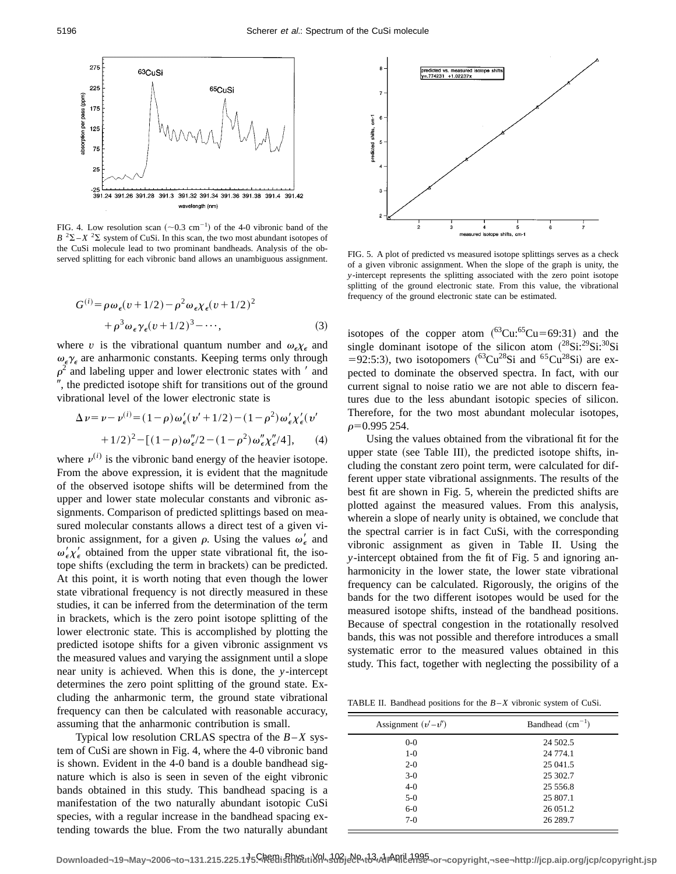

FIG. 4. Low resolution scan  $(\sim 0.3 \text{ cm}^{-1})$  of the 4-0 vibronic band of the  $B<sup>2</sup>\Sigma - X<sup>2</sup>\Sigma$  system of CuSi. In this scan, the two most abundant isotopes of the CuSi molecule lead to two prominant bandheads. Analysis of the observed splitting for each vibronic band allows an unambiguous assignment. FIG. 5. A plot of predicted vs measured isotope splittings serves as a check

$$
G^{(i)} = \rho \omega_{\epsilon}(v + 1/2) - \rho^2 \omega_{\epsilon} \chi_{\epsilon}(v + 1/2)^2
$$
  
+  $\rho^3 \omega_{\epsilon} \gamma_{\epsilon}(v + 1/2)^3 - \cdots,$  (3)

where *v* is the vibrational quantum number and  $\omega_{\epsilon} \chi_{\epsilon}$  and  $\omega_{\epsilon}\gamma_{\epsilon}$  are anharmonic constants. Keeping terms only through  $\rho^2$  and labeling upper and lower electronic states with  $'$  and  $\%$ , the predicted isotope shift for transitions out of the ground vibrational level of the lower electronic state is

$$
\Delta \nu = \nu - \nu^{(i)} = (1 - \rho) \omega'_{\epsilon} (\nu' + 1/2) - (1 - \rho^2) \omega'_{\epsilon} \chi'_{\epsilon} (\nu' + 1/2)^2 - [(1 - \rho) \omega''_{\epsilon}/2 - (1 - \rho^2) \omega''_{\epsilon} \chi''_{\epsilon}/4], \qquad (4)
$$

where  $v^{(i)}$  is the vibronic band energy of the heavier isotope. From the above expression, it is evident that the magnitude of the observed isotope shifts will be determined from the upper and lower state molecular constants and vibronic assignments. Comparison of predicted splittings based on measured molecular constants allows a direct test of a given vibronic assignment, for a given  $\rho$ . Using the values  $\omega'_{\epsilon}$  and  $\omega'_\epsilon \chi'_\epsilon$  obtained from the upper state vibrational fit, the isotope shifts (excluding the term in brackets) can be predicted. At this point, it is worth noting that even though the lower state vibrational frequency is not directly measured in these studies, it can be inferred from the determination of the term in brackets, which is the zero point isotope splitting of the lower electronic state. This is accomplished by plotting the predicted isotope shifts for a given vibronic assignment vs the measured values and varying the assignment until a slope near unity is achieved. When this is done, the *y*-intercept determines the zero point splitting of the ground state. Excluding the anharmonic term, the ground state vibrational frequency can then be calculated with reasonable accuracy, assuming that the anharmonic contribution is small.

Typical low resolution CRLAS spectra of the *B*–*X* system of CuSi are shown in Fig. 4, where the 4-0 vibronic band is shown. Evident in the 4-0 band is a double bandhead signature which is also is seen in seven of the eight vibronic bands obtained in this study. This bandhead spacing is a manifestation of the two naturally abundant isotopic CuSi species, with a regular increase in the bandhead spacing extending towards the blue. From the two naturally abundant



of a given vibronic assignment. When the slope of the graph is unity, the *y*-intercept represents the splitting associated with the zero point isotope splitting of the ground electronic state. From this value, the vibrational frequency of the ground electronic state can be estimated.

isotopes of the copper atom  $(^{63}Cu; ^{65}Cu=69:31)$  and the single dominant isotope of the silicon atom  $(^{28}Si.^{29}Si.^{30}Si$ =92:5:3), two isotopomers  $^{63}Cu^{28}Si$  and  $^{65}Cu^{28}Si$  are expected to dominate the observed spectra. In fact, with our current signal to noise ratio we are not able to discern features due to the less abundant isotopic species of silicon. Therefore, for the two most abundant molecular isotopes,  $\rho$ =0.995 254.

Using the values obtained from the vibrational fit for the upper state (see Table III), the predicted isotope shifts, including the constant zero point term, were calculated for different upper state vibrational assignments. The results of the best fit are shown in Fig. 5, wherein the predicted shifts are plotted against the measured values. From this analysis, wherein a slope of nearly unity is obtained, we conclude that the spectral carrier is in fact CuSi, with the corresponding vibronic assignment as given in Table II. Using the *y*-intercept obtained from the fit of Fig. 5 and ignoring anharmonicity in the lower state, the lower state vibrational frequency can be calculated. Rigorously, the origins of the bands for the two different isotopes would be used for the measured isotope shifts, instead of the bandhead positions. Because of spectral congestion in the rotationally resolved bands, this was not possible and therefore introduces a small systematic error to the measured values obtained in this study. This fact, together with neglecting the possibility of a

TABLE II. Bandhead positions for the *B*–*X* vibronic system of CuSi.

| Assignment $(v'-v')$ | Bandhead $(cm-1)$ |
|----------------------|-------------------|
| $0-0$                | 24 502.5          |
| $1-0$                | 24 774.1          |
| $2 - 0$              | 25 041.5          |
| $3-0$                | 25 302.7          |
| $4-0$                | 25 556.8          |
| $5-0$                | 25 807.1          |
| $6-0$                | 26 051.2          |
| $7-0$                | 26 289.7          |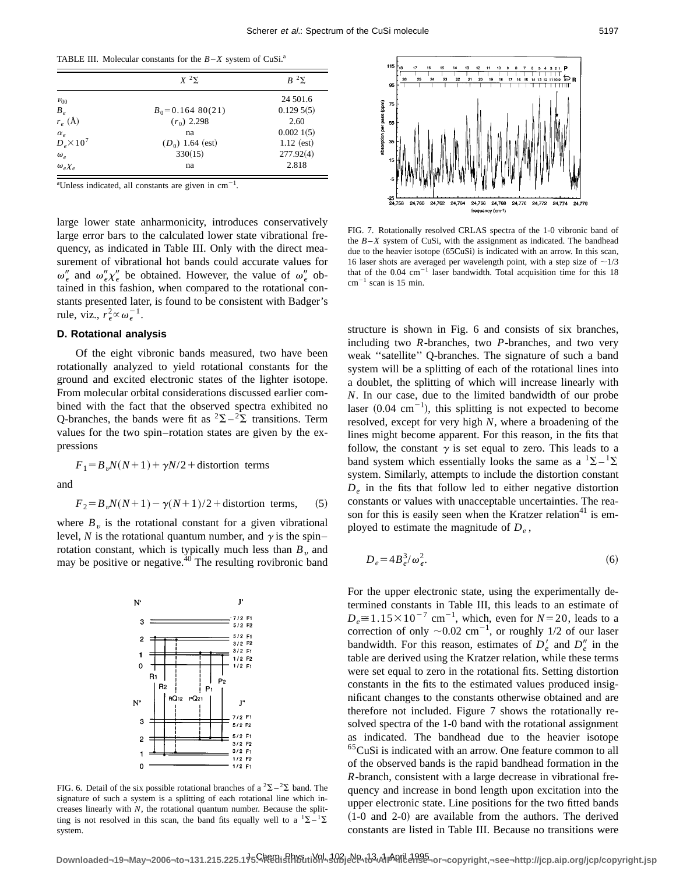TABLE III. Molecular constants for the  $B-X$  system of CuSi.<sup>a</sup>

|                   | $X^2\Sigma$          | $B^2\Sigma$  |
|-------------------|----------------------|--------------|
| $\nu_{00}$        |                      | 24 501.6     |
| $B_e$             | $B_0 = 0.164$ 80(21) | 0.1295(5)    |
| $r_e$ (Å)         | $(r_0)$ 2.298        | 2.60         |
| $\alpha_e$        | na                   | 0.0021(5)    |
| $D_e\times 10^7$  | $(D_0)$ 1.64 (est)   | $1.12$ (est) |
| $\omega_e$        | 330(15)              | 277.92(4)    |
| $\omega_e \chi_e$ | na                   | 2.818        |

<sup>a</sup>Unless indicated, all constants are given in  $cm^{-1}$ .

large lower state anharmonicity, introduces conservatively large error bars to the calculated lower state vibrational frequency, as indicated in Table III. Only with the direct measurement of vibrational hot bands could accurate values for  $\omega_{\epsilon}^{\prime\prime}$  and  $\omega_{\epsilon}^{\prime\prime} \chi_{\epsilon}^{\prime\prime}$  be obtained. However, the value of  $\omega_{\epsilon}^{\prime\prime}$  obtained in this fashion, when compared to the rotational constants presented later, is found to be consistent with Badger's rule, viz.,  $r_{\epsilon}^2 \propto \omega_{\epsilon}^{-1}$ .

# **D. Rotational analysis**

Of the eight vibronic bands measured, two have been rotationally analyzed to yield rotational constants for the ground and excited electronic states of the lighter isotope. From molecular orbital considerations discussed earlier combined with the fact that the observed spectra exhibited no Q-branches, the bands were fit as  ${}^{2}\Sigma - {}^{2}\Sigma$  transitions. Term values for the two spin–rotation states are given by the expressions

$$
F_1 = B_v N(N+1) + \gamma N/2
$$
 + distortion terms

and

$$
F_2 = B_v N(N+1) - \gamma (N+1)/2 + \text{distortion terms}, \qquad (5)
$$

where  $B_y$  is the rotational constant for a given vibrational level, *N* is the rotational quantum number, and  $\gamma$  is the spin– rotation constant, which is typically much less than  $B_y$  and may be positive or negative. $40$  The resulting rovibronic band



FIG. 6. Detail of the six possible rotational branches of a  ${}^{2}\Sigma - {}^{2}\Sigma$  band. The signature of such a system is a splitting of each rotational line which increases linearly with *N*, the rotational quantum number. Because the splitting is not resolved in this scan, the band fits equally well to a  ${}^{1}\Sigma - {}^{1}\Sigma$ system.



FIG. 7. Rotationally resolved CRLAS spectra of the 1-0 vibronic band of the  $B-X$  system of CuSi, with the assignment as indicated. The bandhead due to the heavier isotope  $(65CuSi)$  is indicated with an arrow. In this scan, 16 laser shots are averaged per wavelength point, with a step size of  $\sim$ 1/3 that of the  $0.04 \text{ cm}^{-1}$  laser bandwidth. Total acquisition time for this 18  $cm^{-1}$  scan is 15 min.

structure is shown in Fig. 6 and consists of six branches, including two *R*-branches, two *P*-branches, and two very weak ''satellite'' Q-branches. The signature of such a band system will be a splitting of each of the rotational lines into a doublet, the splitting of which will increase linearly with *N*. In our case, due to the limited bandwidth of our probe laser  $(0.04 \text{ cm}^{-1})$ , this splitting is not expected to become resolved, except for very high *N*, where a broadening of the lines might become apparent. For this reason, in the fits that follow, the constant  $\gamma$  is set equal to zero. This leads to a band system which essentially looks the same as a  ${}^{1}\Sigma - {}^{1}\Sigma$ system. Similarly, attempts to include the distortion constant  $D<sub>e</sub>$  in the fits that follow led to either negative distortion constants or values with unacceptable uncertainties. The reason for this is easily seen when the Kratzer relation<sup>41</sup> is employed to estimate the magnitude of *De* ,

$$
D_e = 4B_e^3/\omega_\epsilon^2. \tag{6}
$$

For the upper electronic state, using the experimentally determined constants in Table III, this leads to an estimate of  $D_e \cong 1.15 \times 10^{-7}$  cm<sup>-1</sup>, which, even for *N*=20, leads to a correction of only  $\sim 0.02$  cm<sup>-1</sup>, or roughly 1/2 of our laser bandwidth. For this reason, estimates of  $D'_e$  and  $D''_e$  in the table are derived using the Kratzer relation, while these terms were set equal to zero in the rotational fits. Setting distortion constants in the fits to the estimated values produced insignificant changes to the constants otherwise obtained and are therefore not included. Figure 7 shows the rotationally resolved spectra of the 1-0 band with the rotational assignment as indicated. The bandhead due to the heavier isotope 65CuSi is indicated with an arrow. One feature common to all of the observed bands is the rapid bandhead formation in the *R*-branch, consistent with a large decrease in vibrational frequency and increase in bond length upon excitation into the upper electronic state. Line positions for the two fitted bands  $(1-0$  and  $2-0)$  are available from the authors. The derived constants are listed in Table III. Because no transitions were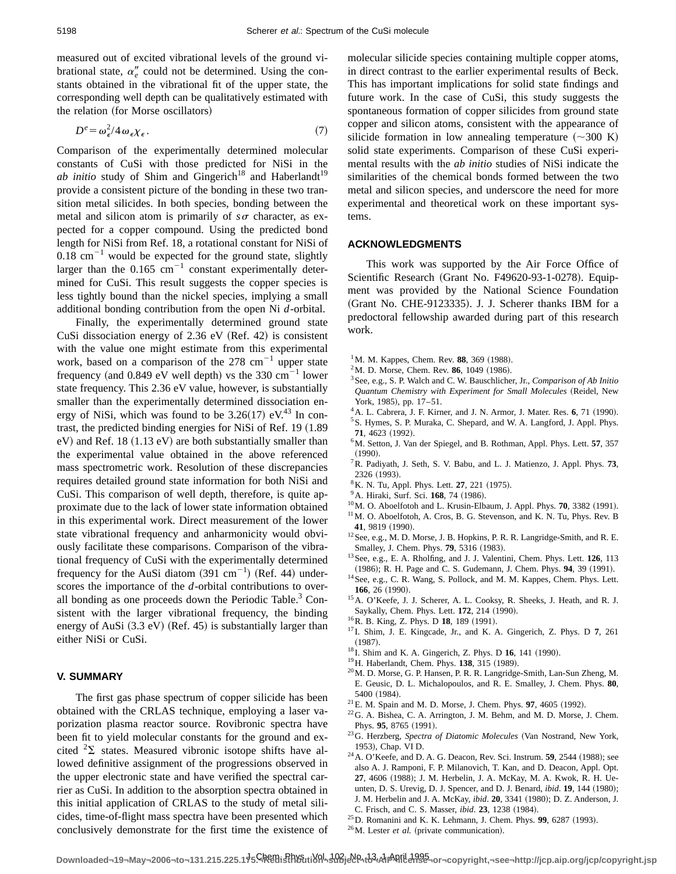measured out of excited vibrational levels of the ground vibrational state,  $\alpha''_e$  could not be determined. Using the constants obtained in the vibrational fit of the upper state, the corresponding well depth can be qualitatively estimated with the relation (for Morse oscillators)

$$
D^e = \omega_\epsilon^2 / 4 \omega_{\epsilon} \chi_\epsilon. \tag{7}
$$

Comparison of the experimentally determined molecular constants of CuSi with those predicted for NiSi in the *ab initio* study of Shim and Gingerich<sup>18</sup> and Haberlandt<sup>19</sup> provide a consistent picture of the bonding in these two transition metal silicides. In both species, bonding between the metal and silicon atom is primarily of  $s\sigma$  character, as expected for a copper compound. Using the predicted bond length for NiSi from Ref. 18, a rotational constant for NiSi of  $0.18$  cm<sup>-1</sup> would be expected for the ground state, slightly larger than the  $0.165$  cm<sup>-1</sup> constant experimentally determined for CuSi. This result suggests the copper species is less tightly bound than the nickel species, implying a small additional bonding contribution from the open Ni *d*-orbital.

Finally, the experimentally determined ground state CuSi dissociation energy of  $2.36$  eV (Ref. 42) is consistent with the value one might estimate from this experimental work, based on a comparison of the  $278 \text{ cm}^{-1}$  upper state frequency (and 0.849 eV well depth) vs the 330  $cm^{-1}$  lower state frequency. This 2.36 eV value, however, is substantially smaller than the experimentally determined dissociation energy of NiSi, which was found to be  $3.26(17)$  eV.<sup>43</sup> In contrast, the predicted binding energies for NiSi of Ref.  $19$   $(1.89)$  $eV$ ) and Ref. 18 (1.13  $eV$ ) are both substantially smaller than the experimental value obtained in the above referenced mass spectrometric work. Resolution of these discrepancies requires detailed ground state information for both NiSi and CuSi. This comparison of well depth, therefore, is quite approximate due to the lack of lower state information obtained in this experimental work. Direct measurement of the lower state vibrational frequency and anharmonicity would obviously facilitate these comparisons. Comparison of the vibrational frequency of CuSi with the experimentally determined frequency for the AuSi diatom  $(391 \text{ cm}^{-1})$  (Ref. 44) underscores the importance of the *d*-orbital contributions to overall bonding as one proceeds down the Periodic Table. $3$  Consistent with the larger vibrational frequency, the binding energy of AuSi  $(3.3 \text{ eV})$  (Ref. 45) is substantially larger than either NiSi or CuSi.

## **V. SUMMARY**

The first gas phase spectrum of copper silicide has been obtained with the CRLAS technique, employing a laser vaporization plasma reactor source. Rovibronic spectra have been fit to yield molecular constants for the ground and excited  ${}^{2}\Sigma$  states. Measured vibronic isotope shifts have allowed definitive assignment of the progressions observed in the upper electronic state and have verified the spectral carrier as CuSi. In addition to the absorption spectra obtained in this initial application of CRLAS to the study of metal silicides, time-of-flight mass spectra have been presented which conclusively demonstrate for the first time the existence of molecular silicide species containing multiple copper atoms, in direct contrast to the earlier experimental results of Beck. This has important implications for solid state findings and future work. In the case of CuSi, this study suggests the spontaneous formation of copper silicides from ground state copper and silicon atoms, consistent with the appearance of silicide formation in low annealing temperature  $({\sim}300 \text{ K})$ solid state experiments. Comparison of these CuSi experimental results with the *ab initio* studies of NiSi indicate the similarities of the chemical bonds formed between the two metal and silicon species, and underscore the need for more experimental and theoretical work on these important systems.

### **ACKNOWLEDGMENTS**

This work was supported by the Air Force Office of Scientific Research (Grant No. F49620-93-1-0278). Equipment was provided by the National Science Foundation (Grant No. CHE-9123335). J. J. Scherer thanks IBM for a predoctoral fellowship awarded during part of this research work.

- $1 M. M.$  Kappes, Chem. Rev. **88**, 369 (1988).
- $2^2$ M. D. Morse, Chem. Rev. 86, 1049 (1986).
- 3See, e.g., S. P. Walch and C. W. Bauschlicher, Jr., *Comparison of Ab Initio* Quantum Chemistry with Experiment for Small Molecules (Reidel, New York, 1985), pp. 17-51.
- $4$ A. L. Cabrera, J. F. Kirner, and J. N. Armor, J. Mater. Res. 6, 71 (1990).
- <sup>5</sup> S. Hymes, S. P. Muraka, C. Shepard, and W. A. Langford, J. Appl. Phys. **71**, 4623 (1992).
- 6M. Setton, J. Van der Spiegel, and B. Rothman, Appl. Phys. Lett. **57**, 357  $(1990).$
- 7R. Padiyath, J. Seth, S. V. Babu, and L. J. Matienzo, J. Appl. Phys. **73**, 2326 (1993).
- <sup>8</sup>K. N. Tu, Appl. Phys. Lett. **27**, 221 (1975).
- <sup>9</sup> A. Hiraki, Surf. Sci. **168**, 74 (1986).
- <sup>10</sup>M. O. Aboelfotoh and L. Krusin-Elbaum, J. Appl. Phys. **70**, 3382 (1991).
- $^{11}$  M. O. Aboelfotoh, A. Cros, B. G. Stevenson, and K. N. Tu, Phys. Rev. B **41**, 9819 (1990).
- 12See, e.g., M. D. Morse, J. B. Hopkins, P. R. R. Langridge-Smith, and R. E. Smalley, J. Chem. Phys. **79**, 5316 (1983).
- 13See, e.g., E. A. Rholfing, and J. J. Valentini, Chem. Phys. Lett. **126**, 113 (1986); R. H. Page and C. S. Gudemann, J. Chem. Phys. 94, 39 (1991).
- 14See, e.g., C. R. Wang, S. Pollock, and M. M. Kappes, Chem. Phys. Lett. **166**, 26 (1990).
- 15A. O'Keefe, J. J. Scherer, A. L. Cooksy, R. Sheeks, J. Heath, and R. J. Saykally, Chem. Phys. Lett. **172**, 214 (1990).
- <sup>16</sup>R. B. King, Z. Phys. D **18**, 189 (1991).
- <sup>17</sup> I. Shim, J. E. Kingcade, Jr., and K. A. Gingerich, Z. Phys. D **7**, 261  $(1987).$
- <sup>18</sup> I. Shim and K. A. Gingerich, Z. Phys. D **16**, 141 (1990).
- <sup>19</sup> H. Haberlandt, Chem. Phys. **138**, 315 (1989).
- 20M. D. Morse, G. P. Hansen, P. R. R. Langridge-Smith, Lan-Sun Zheng, M. E. Geusic, D. L. Michalopoulos, and R. E. Smalley, J. Chem. Phys. **80**, 5400 (1984).
- <sup>21</sup> E. M. Spain and M. D. Morse, J. Chem. Phys. **97**, 4605 (1992).
- 22G. A. Bishea, C. A. Arrington, J. M. Behm, and M. D. Morse, J. Chem. Phys. 95, 8765 (1991).
- <sup>23</sup>G. Herzberg, *Spectra of Diatomic Molecules* (Van Nostrand, New York, 1953), Chap. VI D.
- <sup>24</sup> A. O'Keefe, and D. A. G. Deacon, Rev. Sci. Instrum. **59**, 2544 (1988); see also A. J. Ramponi, F. P. Milanovich, T. Kan, and D. Deacon, Appl. Opt. 27, 4606 (1988); J. M. Herbelin, J. A. McKay, M. A. Kwok, R. H. Ueunten, D. S. Urevig, D. J. Spencer, and D. J. Benard, *ibid.* **19**, 144 (1980); J. M. Herbelin and J. A. McKay, *ibid.* **20**, 3341 (1980); D. Z. Anderson, J. C. Frisch, and C. S. Masser, *ibid.* **23**, 1238 (1984).
- 
- <sup>25</sup> D. Romanini and K. K. Lehmann, J. Chem. Phys. **99**, 6287 (1993).
- $^{26}$ M. Lester *et al.* (private communication).